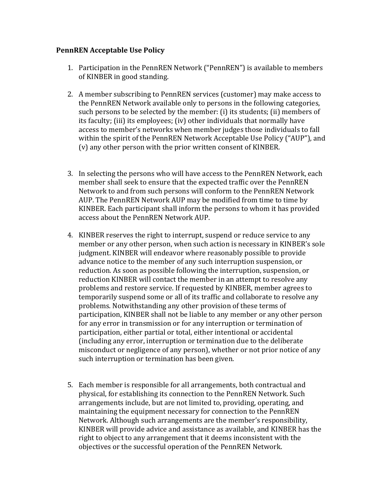## **PennREN Acceptable Use Policy**

- 1. Participation in the PennREN Network ("PennREN") is available to members of KINBER in good standing.
- 2. A member subscribing to PennREN services (customer) may make access to the PennREN Network available only to persons in the following categories, such persons to be selected by the member: (i) its students; (ii) members of its faculty; (iii) its employees; (iv) other individuals that normally have access to member's networks when member judges those individuals to fall within the spirit of the PennREN Network Acceptable Use Policy ("AUP"), and  $(v)$  any other person with the prior written consent of KINBER.
- 3. In selecting the persons who will have access to the PennREN Network, each member shall seek to ensure that the expected traffic over the PennREN Network to and from such persons will conform to the PennREN Network AUP. The PennREN Network AUP may be modified from time to time by KINBER. Each participant shall inform the persons to whom it has provided access about the PennREN Network AUP.
- 4. KINBER reserves the right to interrupt, suspend or reduce service to any member or any other person, when such action is necessary in KINBER's sole judgment. KINBER will endeavor where reasonably possible to provide advance notice to the member of any such interruption suspension, or reduction. As soon as possible following the interruption, suspension, or reduction KINBER will contact the member in an attempt to resolve any problems and restore service. If requested by KINBER, member agrees to temporarily suspend some or all of its traffic and collaborate to resolve any problems. Notwithstanding any other provision of these terms of participation, KINBER shall not be liable to any member or any other person for any error in transmission or for any interruption or termination of participation, either partial or total, either intentional or accidental (including any error, interruption or termination due to the deliberate misconduct or negligence of any person), whether or not prior notice of any such interruption or termination has been given.
- 5. Each member is responsible for all arrangements, both contractual and physical, for establishing its connection to the PennREN Network. Such arrangements include, but are not limited to, providing, operating, and maintaining the equipment necessary for connection to the PennREN Network. Although such arrangements are the member's responsibility, KINBER will provide advice and assistance as available, and KINBER has the right to object to any arrangement that it deems inconsistent with the objectives or the successful operation of the PennREN Network.